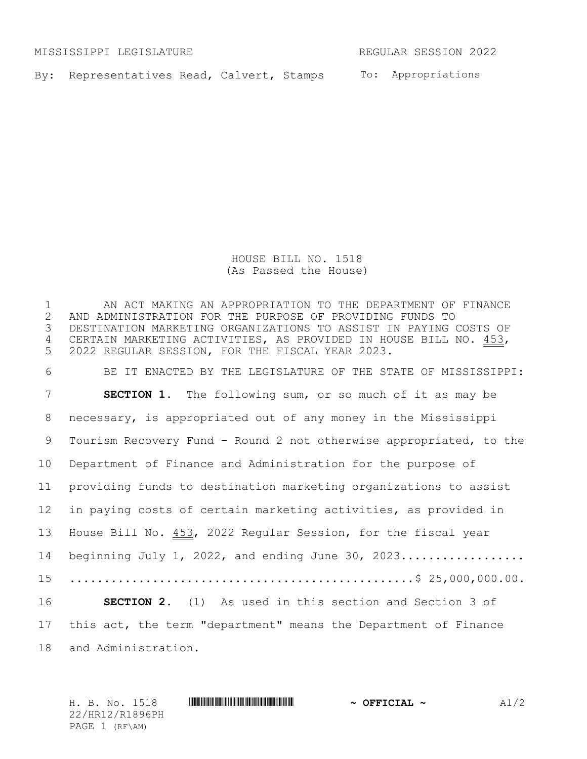MISSISSIPPI LEGISLATURE REGULAR SESSION 2022

By: Representatives Read, Calvert, Stamps To: Appropriations

HOUSE BILL NO. 1518 (As Passed the House)

 AN ACT MAKING AN APPROPRIATION TO THE DEPARTMENT OF FINANCE AND ADMINISTRATION FOR THE PURPOSE OF PROVIDING FUNDS TO DESTINATION MARKETING ORGANIZATIONS TO ASSIST IN PAYING COSTS OF CERTAIN MARKETING ACTIVITIES, AS PROVIDED IN HOUSE BILL NO. 453, 2022 REGULAR SESSION, FOR THE FISCAL YEAR 2023. BE IT ENACTED BY THE LEGISLATURE OF THE STATE OF MISSISSIPPI: **SECTION 1.** The following sum, or so much of it as may be necessary, is appropriated out of any money in the Mississippi Tourism Recovery Fund - Round 2 not otherwise appropriated, to the Department of Finance and Administration for the purpose of providing funds to destination marketing organizations to assist in paying costs of certain marketing activities, as provided in House Bill No. 453, 2022 Regular Session, for the fiscal year beginning July 1, 2022, and ending June 30, 2023.................. ..................................................\$ 25,000,000.00. **SECTION 2.** (1) As used in this section and Section 3 of

this act, the term "department" means the Department of Finance

and Administration.

H. B. No. 1518 **Annual Philippine and Almachine Annual Philippine and Almachine Almachine Almachine Almachine A** 22/HR12/R1896PH PAGE 1 (RF\AM)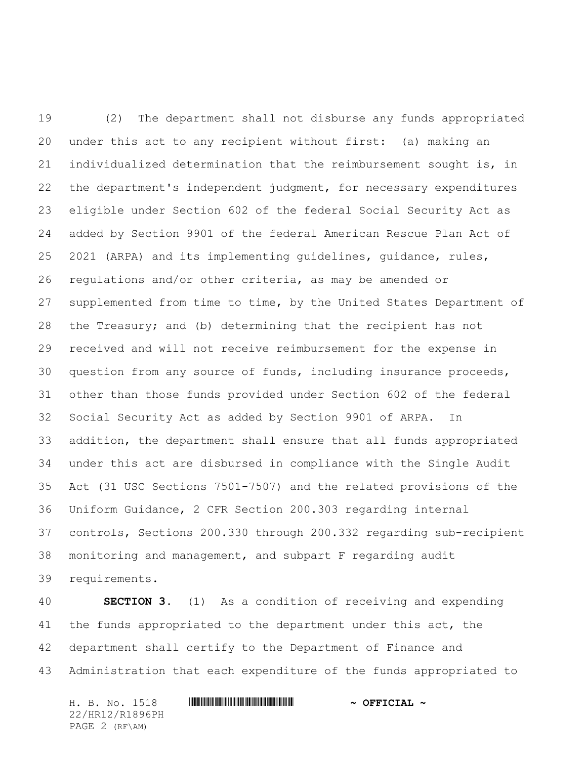19 (2) The department shall not disburse any funds appropriated under this act to any recipient without first: (a) making an individualized determination that the reimbursement sought is, in the department's independent judgment, for necessary expenditures eligible under Section 602 of the federal Social Security Act as added by Section 9901 of the federal American Rescue Plan Act of 2021 (ARPA) and its implementing guidelines, guidance, rules, regulations and/or other criteria, as may be amended or supplemented from time to time, by the United States Department of the Treasury; and (b) determining that the recipient has not received and will not receive reimbursement for the expense in question from any source of funds, including insurance proceeds, other than those funds provided under Section 602 of the federal Social Security Act as added by Section 9901 of ARPA. In addition, the department shall ensure that all funds appropriated under this act are disbursed in compliance with the Single Audit Act (31 USC Sections 7501-7507) and the related provisions of the Uniform Guidance, 2 CFR Section 200.303 regarding internal controls, Sections 200.330 through 200.332 regarding sub-recipient monitoring and management, and subpart F regarding audit requirements.

 **SECTION 3.** (1) As a condition of receiving and expending the funds appropriated to the department under this act, the department shall certify to the Department of Finance and Administration that each expenditure of the funds appropriated to

H. B. No. 1518 \*HR12/R1896PH\* **~ OFFICIAL ~** 22/HR12/R1896PH PAGE 2 (RF\AM)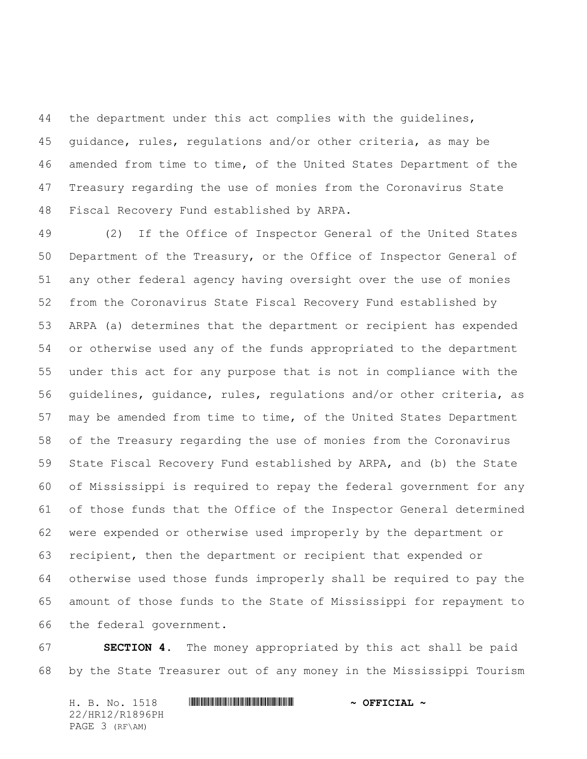the department under this act complies with the guidelines, guidance, rules, regulations and/or other criteria, as may be amended from time to time, of the United States Department of the Treasury regarding the use of monies from the Coronavirus State Fiscal Recovery Fund established by ARPA.

 (2) If the Office of Inspector General of the United States Department of the Treasury, or the Office of Inspector General of any other federal agency having oversight over the use of monies from the Coronavirus State Fiscal Recovery Fund established by ARPA (a) determines that the department or recipient has expended or otherwise used any of the funds appropriated to the department under this act for any purpose that is not in compliance with the guidelines, guidance, rules, regulations and/or other criteria, as may be amended from time to time, of the United States Department of the Treasury regarding the use of monies from the Coronavirus State Fiscal Recovery Fund established by ARPA, and (b) the State of Mississippi is required to repay the federal government for any of those funds that the Office of the Inspector General determined were expended or otherwise used improperly by the department or recipient, then the department or recipient that expended or otherwise used those funds improperly shall be required to pay the amount of those funds to the State of Mississippi for repayment to the federal government.

 **SECTION 4.** The money appropriated by this act shall be paid by the State Treasurer out of any money in the Mississippi Tourism

H. B. No. 1518 \*HR12/R1896PH\* **~ OFFICIAL ~** 22/HR12/R1896PH PAGE 3 (RF\AM)